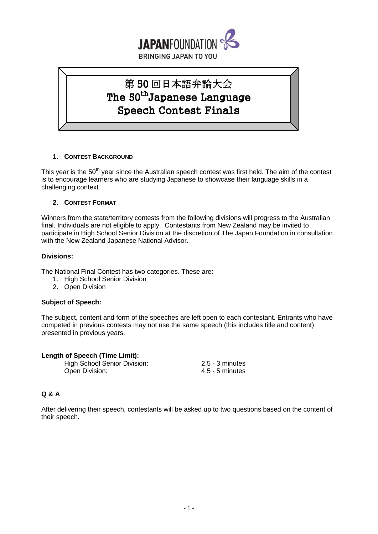

# 第 50 回日本語弁論大会 The 50<sup>th</sup>Japanese Language Speech Contest Finals

# **1. CONTEST BACKGROUND**

This year is the 50<sup>th</sup> year since the Australian speech contest was first held. The aim of the contest is to encourage learners who are studying Japanese to showcase their language skills in a challenging context.

# **2. CONTEST FORMAT**

Winners from the state/territory contests from the following divisions will progress to the Australian final. Individuals are not eligible to apply. Contestants from New Zealand may be invited to participate in High School Senior Division at the discretion of The Japan Foundation in consultation with the New Zealand Japanese National Advisor.

## **Divisions:**

The National Final Contest has two categories. These are:

- 1. High School Senior Division
- 2. Open Division

# **Subject of Speech:**

The subject, content and form of the speeches are left open to each contestant. Entrants who have competed in previous contests may not use the same speech (this includes title and content) presented in previous years.

|  | <b>Length of Speech (Time Limit):</b> |  |
|--|---------------------------------------|--|
|  |                                       |  |

High School Senior Division: 2.5 - 3 minutes Open Division: 4.5 - 5 minutes

# **Q & A**

After delivering their speech, contestants will be asked up to two questions based on the content of their speech.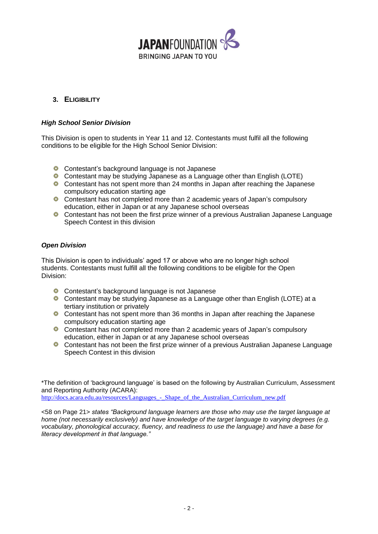

# **3. ELIGIBILITY**

## *High School Senior Division*

This Division is open to students in Year 11 and 12. Contestants must fulfil all the following conditions to be eligible for the High School Senior Division:

- **C** Contestant's background language is not Japanese
- Contestant may be studying Japanese as a Language other than English (LOTE)
- Contestant has not spent more than 24 months in Japan after reaching the Japanese compulsory education starting age
- Contestant has not completed more than 2 academic years of Japan's compulsory education, either in Japan or at any Japanese school overseas
- Contestant has not been the first prize winner of a previous Australian Japanese Language Speech Contest in this division

## *Open Division*

This Division is open to individuals' aged 17 or above who are no longer high school students. Contestants must fulfill all the following conditions to be eligible for the Open Division:

- **C** Contestant's background language is not Japanese
- Contestant may be studying Japanese as a Language other than English (LOTE) at a tertiary institution or privately
- Contestant has not spent more than 36 months in Japan after reaching the Japanese compulsory education starting age
- **C** Contestant has not completed more than 2 academic years of Japan's compulsory education, either in Japan or at any Japanese school overseas
- **C** Contestant has not been the first prize winner of a previous Australian Japanese Language Speech Contest in this division

\*The definition of 'background language' is based on the following by Australian Curriculum, Assessment and Reporting Authority (ACARA):

http://docs.acara.edu.au/resources/Languages - Shape of the Australian Curriculum new.pdf

<58 on Page 21> *states "Background language learners are those who may use the target language at home (not necessarily exclusively) and have knowledge of the target language to varying degrees (e.g. vocabulary, phonological accuracy, fluency, and readiness to use the language) and have a base for literacy development in that language."*